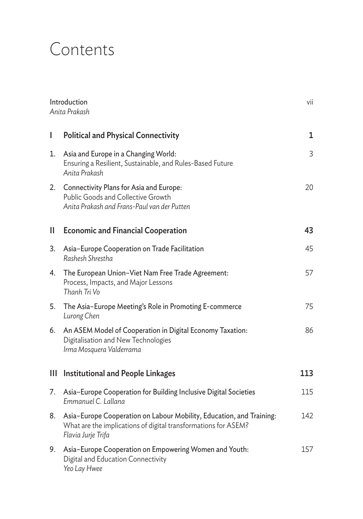## Contents

| Introduction<br>Anita Prakash |                                                                                                                                                              | vii |
|-------------------------------|--------------------------------------------------------------------------------------------------------------------------------------------------------------|-----|
| I                             | <b>Political and Physical Connectivity</b>                                                                                                                   | 1   |
| 1.                            | Asia and Europe in a Changing World:<br>Ensuring a Resilient, Sustainable, and Rules-Based Future<br>Anita Prakash                                           | 3   |
| 2.                            | Connectivity Plans for Asia and Europe:<br>Public Goods and Collective Growth<br>Anita Prakash and Frans-Paul van der Putten                                 | 20  |
| $\mathbf{I}$                  | <b>Economic and Financial Cooperation</b>                                                                                                                    | 43  |
| 3.                            | Asia-Europe Cooperation on Trade Facilitation<br>Rashesh Shrestha                                                                                            | 45  |
| 4.                            | The European Union-Viet Nam Free Trade Agreement:<br>Process, Impacts, and Major Lessons<br>Thanh Tri Vo                                                     | 57  |
| 5.                            | The Asia-Europe Meeting's Role in Promoting E-commerce<br>Lurong Chen                                                                                        | 75  |
| 6.                            | An ASEM Model of Cooperation in Digital Economy Taxation:<br>Digitalisation and New Technologies<br>Irma Mosquera Valderrama                                 | 86  |
| Ш                             | <b>Institutional and People Linkages</b>                                                                                                                     | 113 |
| 7.                            | Asia-Europe Cooperation for Building Inclusive Digital Societies<br>Emmanuel C. Lallana                                                                      | 115 |
| 8.                            | Asia-Europe Cooperation on Labour Mobility, Education, and Training:<br>What are the implications of digital transformations for ASEM?<br>Flavia Jurje Trifa | 142 |
| 9.                            | Asia-Europe Cooperation on Empowering Women and Youth:<br>Digital and Education Connectivity<br>Yeo Lay Hwee                                                 | 157 |